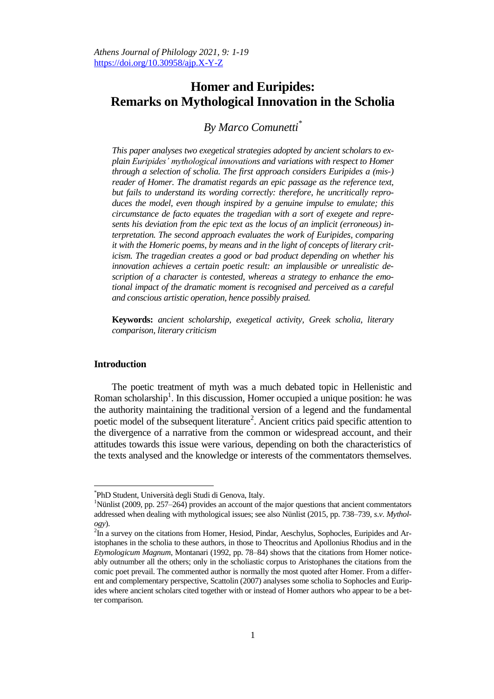# **Homer and Euripides: Remarks on Mythological Innovation in the Scholia**

# *By Marco Comunetti\**

*This paper analyses two exegetical strategies adopted by ancient scholars to explain Euripides' mythological innovations and variations with respect to Homer through a selection of scholia. The first approach considers Euripides a (mis-) reader of Homer. The dramatist regards an epic passage as the reference text, but fails to understand its wording correctly: therefore, he uncritically reproduces the model, even though inspired by a genuine impulse to emulate; this circumstance de facto equates the tragedian with a sort of exegete and represents his deviation from the epic text as the locus of an implicit (erroneous) interpretation. The second approach evaluates the work of Euripides, comparing it with the Homeric poems, by means and in the light of concepts of literary criticism. The tragedian creates a good or bad product depending on whether his innovation achieves a certain poetic result: an implausible or unrealistic description of a character is contested, whereas a strategy to enhance the emotional impact of the dramatic moment is recognised and perceived as a careful and conscious artistic operation, hence possibly praised.*

**Keywords:** *ancient scholarship, exegetical activity, Greek scholia, literary comparison, literary criticism*

#### **Introduction**

 $\overline{\phantom{a}}$ 

The poetic treatment of myth was a much debated topic in Hellenistic and Roman scholarship<sup>1</sup>. In this discussion, Homer occupied a unique position: he was the authority maintaining the traditional version of a legend and the fundamental poetic model of the subsequent literature<sup>2</sup>. Ancient critics paid specific attention to the divergence of a narrative from the common or widespread account, and their attitudes towards this issue were various, depending on both the characteristics of the texts analysed and the knowledge or interests of the commentators themselves.

<sup>\*</sup> PhD Student, Università degli Studi di Genova, Italy.

<sup>&</sup>lt;sup>1</sup>Nünlist (2009, pp. 257–264) provides an account of the major questions that ancient commentators addressed when dealing with mythological issues; see also Nünlist (2015, pp. 738–739, *s*.*v*. *Mythology*).

 ${}^{2}$ In a survey on the citations from Homer, Hesiod, Pindar, Aeschylus, Sophocles, Euripides and Aristophanes in the scholia to these authors, in those to Theocritus and Apollonius Rhodius and in the *Etymologicum Magnum*, Montanari (1992, pp. 78–84) shows that the citations from Homer noticeably outnumber all the others; only in the scholiastic corpus to Aristophanes the citations from the comic poet prevail. The commented author is normally the most quoted after Homer. From a different and complementary perspective, Scattolin (2007) analyses some scholia to Sophocles and Euripides where ancient scholars cited together with or instead of Homer authors who appear to be a better comparison.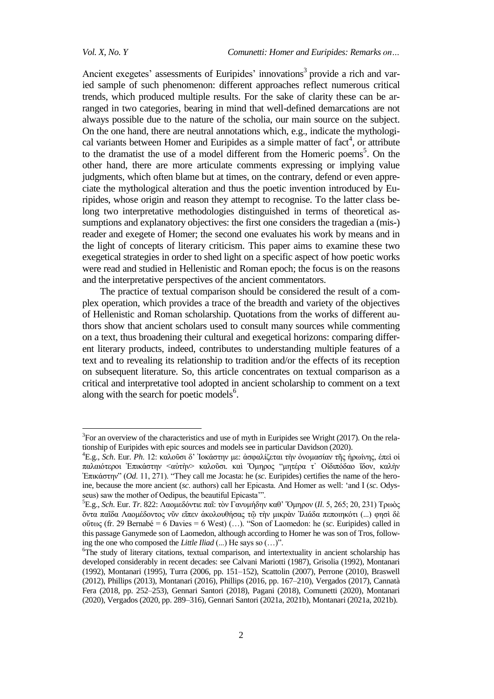$\overline{a}$ 

Ancient exegetes' assessments of Euripides' innovations<sup>3</sup> provide a rich and varied sample of such phenomenon: different approaches reflect numerous critical trends, which produced multiple results. For the sake of clarity these can be arranged in two categories, bearing in mind that well-defined demarcations are not always possible due to the nature of the scholia, our main source on the subject. On the one hand, there are neutral annotations which, e.g., indicate the mythological variants between Homer and Euripides as a simple matter of  $fact<sup>4</sup>$ , or attribute to the dramatist the use of a model different from the Homeric poems<sup>5</sup>. On the other hand, there are more articulate comments expressing or implying value judgments, which often blame but at times, on the contrary, defend or even appreciate the mythological alteration and thus the poetic invention introduced by Euripides, whose origin and reason they attempt to recognise. To the latter class belong two interpretative methodologies distinguished in terms of theoretical assumptions and explanatory objectives: the first one considers the tragedian a (mis-) reader and exegete of Homer; the second one evaluates his work by means and in the light of concepts of literary criticism. This paper aims to examine these two exegetical strategies in order to shed light on a specific aspect of how poetic works were read and studied in Hellenistic and Roman epoch; the focus is on the reasons and the interpretative perspectives of the ancient commentators.

The practice of textual comparison should be considered the result of a complex operation, which provides a trace of the breadth and variety of the objectives of Hellenistic and Roman scholarship. Quotations from the works of different authors show that ancient scholars used to consult many sources while commenting on a text, thus broadening their cultural and exegetical horizons: comparing different literary products, indeed, contributes to understanding multiple features of a text and to revealing its relationship to tradition and/or the effects of its reception on subsequent literature. So, this article concentrates on textual comparison as a critical and interpretative tool adopted in ancient scholarship to comment on a text along with the search for poetic models<sup>6</sup>.

 $3$ For an overview of the characteristics and use of myth in Euripides see Wright (2017). On the relationship of Euripides with epic sources and models see in particular Davidson (2020).

<sup>&</sup>lt;sup>4</sup>E.g., *Sch.* Eur. *Ph.* 12: καλοῦσι δ' Ἰοκάστην με: ἀσφαλίζεται τὴν ὀνομασίαν τῆς ἡρωίνης, ἐπεὶ οἱ παλαιότεροι Επικάστην <αύτην> καλούσι. και Όμηρος "μητέρα τ' Οιδιπόδαο ίδον, καλήν Eπικάστην" (Od. 11, 271). "They call me Jocasta: he (sc. Euripides) certifies the name of the heroine, because the more ancient (*sc*. authors) call her Epicasta. And Homer as well: "and I (*sc*. Odysseus) saw the mother of Oedipus, the beautiful Epicasta"".

<sup>&</sup>lt;sup>5</sup>Ε.g., *Sch.* Eur. *Tr.* 822: Λαομεδόντιε παῖ: τὸν Γανυμήδην καθ' Όμηρον (*Il.* 5, 265; 20, 231) Τρωὸς ὄντα παῖδα Λαομέδοντος νῦν εἴπεν ἀκολουθήσας τῷ τὴν μικρὰν Ἰλιάδα πεποιηκότι (...) φησί δὲ νὕησο (fr. 29 Bernabé = 6 Davies = 6 West) (…). "Son of Laomedon: he (*sc*. Euripides) called in this passage Ganymede son of Laomedon, although according to Homer he was son of Tros, following the one who composed the *Little Iliad* (...) He says so (…)".

<sup>6</sup>The study of literary citations, textual comparison, and intertextuality in ancient scholarship has developed considerably in recent decades: see Calvani Mariotti (1987), Grisolia (1992), Montanari (1992), Montanari (1995), Turra (2006, pp. 151–152), Scattolin (2007), Perrone (2010), Braswell (2012), Phillips (2013), Montanari (2016), Phillips (2016, pp. 167–210), Vergados (2017), Cannatà Fera (2018, pp. 252–253), Gennari Santori (2018), Pagani (2018), Comunetti (2020), Montanari (2020), Vergados (2020, pp. 289–316), Gennari Santori (2021a, 2021b), Montanari (2021a, 2021b).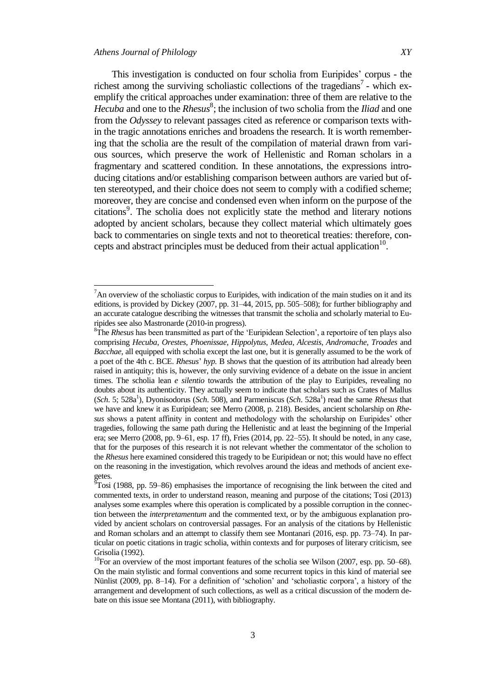$\overline{\phantom{a}}$ 

This investigation is conducted on four scholia from Euripides" corpus - the richest among the surviving scholiastic collections of the tragedians<sup>7</sup> - which exemplify the critical approaches under examination: three of them are relative to the Hecuba and one to the *Rhesus*<sup>8</sup>; the inclusion of two scholia from the *Iliad* and one from the *Odyssey* to relevant passages cited as reference or comparison texts within the tragic annotations enriches and broadens the research. It is worth remembering that the scholia are the result of the compilation of material drawn from various sources, which preserve the work of Hellenistic and Roman scholars in a fragmentary and scattered condition. In these annotations, the expressions introducing citations and/or establishing comparison between authors are varied but often stereotyped, and their choice does not seem to comply with a codified scheme; moreover, they are concise and condensed even when inform on the purpose of the citations<sup>9</sup>. The scholia does not explicitly state the method and literary notions adopted by ancient scholars, because they collect material which ultimately goes back to commentaries on single texts and not to theoretical treaties: therefore, concepts and abstract principles must be deduced from their actual application $10$ .

 $<sup>7</sup>$ An overview of the scholiastic corpus to Euripides, with indication of the main studies on it and its</sup> editions, is provided by Dickey (2007, pp. 31–44, 2015, pp. 505–508); for further bibliography and an accurate catalogue describing the witnesses that transmit the scholia and scholarly material to Euripides see also Mastronarde (2010-in progress).

<sup>8</sup>The *Rhesus* has been transmitted as part of the "Euripidean Selection", a reportoire of ten plays also comprising *Hecuba*, *Orestes*, *Phoenissae, Hippolytus*, *Medea*, *Alcestis*, *Andromache*, *Troades* and *Bacchae*, all equipped with scholia except the last one, but it is generally assumed to be the work of a poet of the 4th c. BCE. *Rhesus*" *hyp.* B shows that the question of its attribution had already been raised in antiquity; this is, however, the only surviving evidence of a debate on the issue in ancient times. The scholia lean *e silentio* towards the attribution of the play to Euripides, revealing no doubts about its authenticity. They actually seem to indicate that scholars such as Crates of Mallus (*Sch.* 5; 528a<sup>1</sup>), Dyonisodorus (*Sch.* 508), and Parmeniscus (*Sch.* 528a<sup>1</sup>) read the same *Rhesus* that we have and knew it as Euripidean; see Merro (2008, p. 218). Besides, ancient scholarship on *Rhesus* shows a patent affinity in content and methodology with the scholarship on Euripides" other tragedies, following the same path during the Hellenistic and at least the beginning of the Imperial era; see Merro (2008, pp. 9–61, esp. 17 ff), Fries (2014, pp. 22–55). It should be noted, in any case, that for the purposes of this research it is not relevant whether the commentator of the scholion to the *Rhesus* here examined considered this tragedy to be Euripidean or not; this would have no effect on the reasoning in the investigation, which revolves around the ideas and methods of ancient exegetes.

 $\sqrt[5]{9}$ Tosi (1988, pp. 59–86) emphasises the importance of recognising the link between the cited and commented texts, in order to understand reason, meaning and purpose of the citations; Tosi (2013) analyses some examples where this operation is complicated by a possible corruption in the connection between the *interpretamentum* and the commented text, or by the ambiguous explanation provided by ancient scholars on controversial passages. For an analysis of the citations by Hellenistic and Roman scholars and an attempt to classify them see Montanari (2016, esp. pp. 73–74). In particular on poetic citations in tragic scholia, within contexts and for purposes of literary criticism, see Grisolia (1992).

<sup>&</sup>lt;sup>10</sup>For an overview of the most important features of the scholia see Wilson (2007, esp. pp. 50–68). On the main stylistic and formal conventions and some recurrent topics in this kind of material see Nünlist (2009, pp. 8–14). For a definition of 'scholion' and 'scholiastic corpora', a history of the arrangement and development of such collections, as well as a critical discussion of the modern debate on this issue see Montana (2011), with bibliography.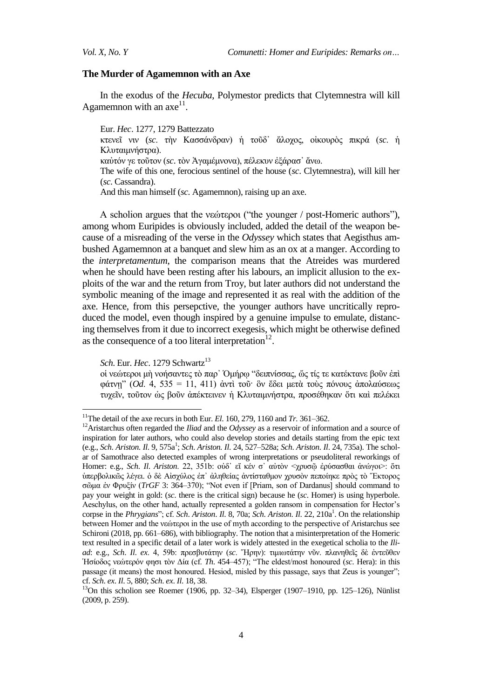## **The Murder of Agamemnon with an Axe**

In the exodus of the *Hecuba*, Polymestor predicts that Clytemnestra will kill Agamemnon with an  $axe^{11}$ .

Eur. *Hec*. 1277, 1279 Battezzato κτενεῖ νιν (sc. τὴν Κασσάνδραν) ἡ τοῦδο ἄλοχος, οἰκουρὸς πικρά (sc. ἡ Κλυταιμνήστρα). καύτόν γε τοῦτον (sc. τὸν Ἀγαμέμνονα), πέλεκυν ἐξάρασ' ἄνω. The wife of this one, ferocious sentinel of the house (*sc*. Clytemnestra), will kill her (*sc*. Cassandra). And this man himself (*sc*. Agamemnon), raising up an axe.

A scholion argues that the νεώτεροι ("the younger / post-Homeric authors"), among whom Euripides is obviously included, added the detail of the weapon because of a misreading of the verse in the *Odyssey* which states that Aegisthus ambushed Agamemnon at a banquet and slew him as an ox at a manger. According to the *interpretamentum*, the comparison means that the Atreides was murdered when he should have been resting after his labours, an implicit allusion to the exploits of the war and the return from Troy, but later authors did not understand the symbolic meaning of the image and represented it as real with the addition of the axe. Hence, from this persepctive, the younger authors have uncritically reproduced the model, even though inspired by a genuine impulse to emulate, distancing themselves from it due to incorrect exegesis, which might be otherwise defined as the consequence of a too literal interpretation $^{12}$ .

*Sch.* Eur. *Hec.* 1279 Schwartz<sup>13</sup>

 $\ddot{\phantom{a}}$ 

οί νεώτεροι μὴ νοήσαντες τὸ παρ' Ὁμήρῳ "δειπνίσσας, ὥς τίς τε κατέκτανε βοῦν ἐπὶ  $\phi$ άτνη" (*Od.* 4, 535 = 11, 411) άντι τοῦ· ὃν ἔδει μετὰ τοὺς πόνους ἀπολαύσεως τυχεῖν, τοῦτον ὡς βοῦν ἀπέκτεινεν ἡ Κλυταιμνήστρα, προσέθηκαν ὅτι καὶ πελέκει

<sup>&</sup>lt;sup>11</sup>The detail of the axe recurs in both Eur. *El.* 160, 279, 1160 and *Tr.* 361–362.

<sup>12</sup>Aristarchus often regarded the *Iliad* and the *Odyssey* as a reservoir of information and a source of inspiration for later authors, who could also develop stories and details starting from the epic text (e.g., *Sch. Ariston. Il. 9, 575a<sup>1</sup>; <i>Sch. Ariston. Il. 24, 527–528a; Sch. Ariston. Il. 24, 735a*). The scholar of Samothrace also detected examples of wrong interpretations or pseudoliteral reworkings of Homer: e.g., *Sch. Il. Ariston.* 22, 351b: ούδ' εἴ κέν σ' αὐτὸν <χρυσῷ ἐρύσασθαι ἀνώγοι>: ὅτι ύπερβολικῶς λέγει. ὁ δὲ Αίσχύλος ἐπ᾽ ἀληθείας ἀντίσταθμον χρυσὸν πεποίηκε πρὸς τὸ Έκτορος ζῶκα ἐλ Φξπμίλ (*TrGF* 3: 364–370); "Not even if [Priam, son of Dardanus] should command to pay your weight in gold: (*sc*. there is the critical sign) because he (*sc*. Homer) is using hyperbole. Aeschylus, on the other hand, actually represented a golden ransom in compensation for Hector"s corpse in the *Phrygians*"; cf. *Sch. Ariston. Il. 8, 70a; Sch. Ariston. Il. 22, 210a*<sup>1</sup>. On the relationship between Homer and the λεώηεξνη in the use of myth according to the perspective of Aristarchus see Schironi (2018, pp. 661–686), with bibliography. The notion that a misinterpretation of the Homeric text resulted in a specific detail of a later work is widely attested in the exegetical scholia to the *Iliad*: e.g., *Sch. Il. ex.* 4, 59b: πρεσβυτάτην (*sc. Ήρην*): τιμιωτάτην νῦν. πλανηθεῖς δὲ ἐντεῦθεν Ἡζίνδνο λεώηεξόλ θεζη ηὸλ Γία (cf. *Th*. 454–457); "The eldest/most honoured (*sc*. Hera): in this passage (it means) the most honoured. Hesiod, misled by this passage, says that Zeus is younger"; cf. *Sch*. *ex*. *Il*. 5, 880; *Sch*. *ex*. *Il*. 18, 38.

 $13$ On this scholion see Roemer (1906, pp. 32–34), Elsperger (1907–1910, pp. 125–126), Nünlist (2009, p. 259).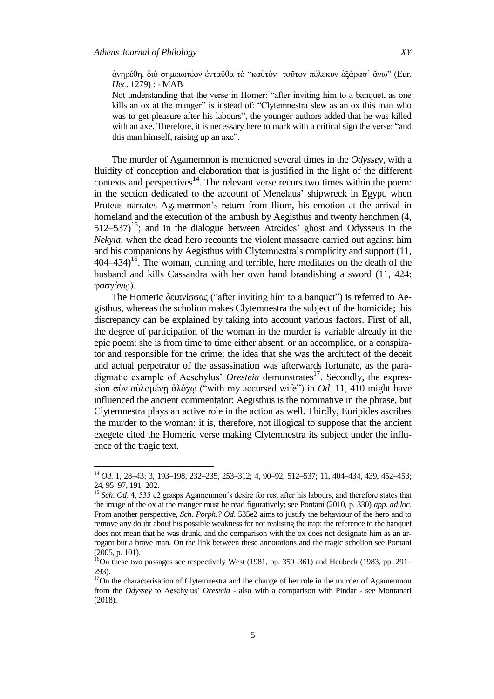$\overline{a}$ 

άνηρέθη. διὸ σημειωτέον ἐνταῦθα τὸ "καὐτὸν τοῦτον πέλεκυν ἐξάρασ' ἄνω" (Eur. *Hec*. 1279) : - MAB

Not understanding that the verse in Homer: "after inviting him to a banquet, as one kills an ox at the manger" is instead of: "Clytemnestra slew as an ox this man who was to get pleasure after his labours", the younger authors added that he was killed with an axe. Therefore, it is necessary here to mark with a critical sign the verse: "and this man himself, raising up an axe".

The murder of Agamemnon is mentioned several times in the *Odyssey*, with a fluidity of conception and elaboration that is justified in the light of the different contexts and perspectives $14$ . The relevant verse recurs two times within the poem: in the section dedicated to the account of Menelaus' shipwreck in Egypt, when Proteus narrates Agamemnon"s return from Ilium, his emotion at the arrival in homeland and the execution of the ambush by Aegisthus and twenty henchmen (4,  $512-537$ <sup>15</sup>; and in the dialogue between Atreides' ghost and Odysseus in the *Nekyia*, when the dead hero recounts the violent massacre carried out against him and his companions by Aegisthus with Clytemnestra"s complicity and support (11,  $404-434$ <sup>16</sup>. The woman, cunning and terrible, here meditates on the death of the husband and kills Cassandra with her own hand brandishing a sword (11, 424: φασγάνω).

The Homeric δειπνίσσας ("after inviting him to a banquet") is referred to Aegisthus, whereas the scholion makes Clytemnestra the subject of the homicide; this discrepancy can be explained by taking into account various factors. First of all, the degree of participation of the woman in the murder is variable already in the epic poem: she is from time to time either absent, or an accomplice, or a conspirator and responsible for the crime; the idea that she was the architect of the deceit and actual perpetrator of the assassination was afterwards fortunate, as the paradigmatic example of Aeschylus' Oresteia demonstrates<sup>17</sup>. Secondly, the expression σὺν οὐλομένῃ ἀλόχω ("with my accursed wife") in *Od*. 11, 410 might have influenced the ancient commentator: Aegisthus is the nominative in the phrase, but Clytemnestra plays an active role in the action as well. Thirdly, Euripides ascribes the murder to the woman: it is, therefore, not illogical to suppose that the ancient exegete cited the Homeric verse making Clytemnestra its subject under the influence of the tragic text.

<sup>14</sup> *Od*. 1, 28–43; 3, 193–198, 232–235, 253–312; 4, 90–92, 512–537; 11, 404–434, 439, 452–453; 24, 95–97, 191–202.

<sup>&</sup>lt;sup>15</sup> *Sch. Od.* 4, 535 e2 grasps Agamemnon's desire for rest after his labours, and therefore states that the image of the ox at the manger must be read figuratively; see Pontani (2010, p. 330) *app. ad loc*. From another perspective, *Sch*. *Porph.? Od*. 535e2 aims to justify the behaviour of the hero and to remove any doubt about his possible weakness for not realising the trap: the reference to the banquet does not mean that he was drunk, and the comparison with the ox does not designate him as an arrogant but a brave man. On the link between these annotations and the tragic scholion see Pontani (2005, p. 101).

 $^{16}$ On these two passages see respectively West (1981, pp. 359–361) and Heubeck (1983, pp. 291– 293).

 $17$ On the characterisation of Clytemnestra and the change of her role in the murder of Agamemnon from the *Odyssey* to Aeschylus" *Oresteia* - also with a comparison with Pindar - see Montanari (2018).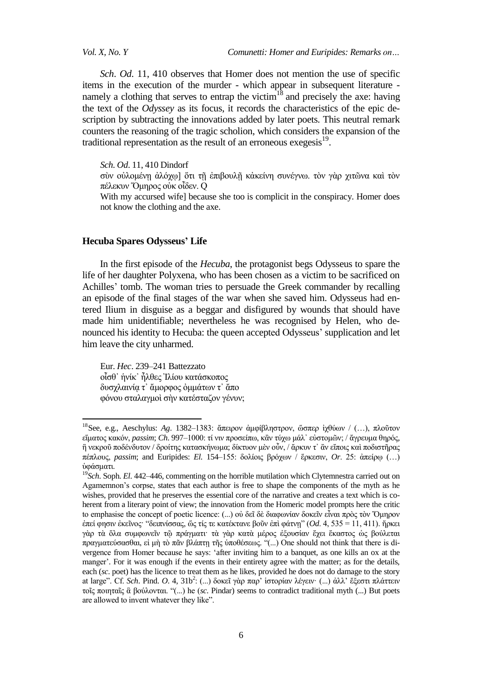$\overline{a}$ 

*Vol. X, No. Y Comunetti: Homer and Euripides: Remarks on…*

*Sch*. *Od*. 11, 410 observes that Homer does not mention the use of specific items in the execution of the murder - which appear in subsequent literature namely a clothing that serves to entrap the victim $18$  and precisely the axe: having the text of the *Odyssey* as its focus, it records the characteristics of the epic description by subtracting the innovations added by later poets. This neutral remark counters the reasoning of the tragic scholion, which considers the expansion of the traditional representation as the result of an erroneous exegesis<sup>19</sup>.

*Sch*. *Od*. 11, 410 Dindorf

σύν ούλομένη άλόχω] ὅτι τῆ ἐπιβουλῆ κἀκείνη συνέγνω. τὸν γὰρ χιτῶνα καὶ τὸν πέλεκυν Όμηρος ούκ οἶδεν. Q

With my accursed wife] because she too is complicit in the conspiracy. Homer does not know the clothing and the axe.

## **Hecuba Spares Odysseus' Life**

In the first episode of the *Hecuba*, the protagonist begs Odysseus to spare the life of her daughter Polyxena, who has been chosen as a victim to be sacrificed on Achilles" tomb. The woman tries to persuade the Greek commander by recalling an episode of the final stages of the war when she saved him. Odysseus had entered Ilium in disguise as a beggar and disfigured by wounds that should have made him unidentifiable; nevertheless he was recognised by Helen, who denounced his identity to Hecuba: the queen accepted Odysseus' supplication and let him leave the city unharmed.

Eur. *Hec*. 239–241 Battezzato οἶσθ' ήνίκ' ἦλθες Ἰλίου κατάσκοπος δυσγλαινία τ' ἄμορφος ὀμμάτων τ' ἄπο φόνου σταλαγμοί σην κατέσταζον γένυν;

<sup>&</sup>lt;sup>18</sup> See, e.g., Aeschylus: Ag. 1382-1383: ἄπειρον ἀμφίβληστρον, ὥσπερ ἰχθύων / (...), πλοῦτον εἵματος κακόν, *passim*; *Ch.* 997–1000: τί νιν προσείπω, κἂν τύχω μάλ<sup>·</sup> εὐστομῶν; / ἄγρευμα θηρός, ἢ νεκροῦ ποδένδυτον / δροίτης κατασκήνωμα; δίκτυον μὲν οὖν, / ἄρκυν τ᾽ ἂν εἴποις καὶ ποδιστῆρας πέπλους, *passim*; and Euripides: *El.* 154–155: δολίοις βρόγων / ἕρκεσιν, *Or.* 25: ἀπείρω (...) ύφάσματι.

<sup>19</sup>*Sch*. Soph. *El*. 442–446, commenting on the horrible mutilation which Clytemnestra carried out on Agamemnon"s corpse, states that each author is free to shape the components of the myth as he wishes, provided that he preserves the essential core of the narrative and creates a text which is coherent from a literary point of view; the innovation from the Homeric model prompts here the critic to emphasise the concept of poetic licence: (...) οὐ δεῖ δὲ διαφωνίαν δοκεῖν εἶναι πρὸς τὸν Ὅμηρον επεί φησιν ἐκεῖνος· "δειπνίσσας, ὥς τίς τε κατέκτανε βοῦν ἐπὶ φάτνῃ" (*Od.* 4, 535 = 11, 411). ἤρκει γὰρ τὰ ὅλα συμφωνεῖν τῶ πράγματι· τὰ γὰρ κατὰ μέρος ἐξουσίαν ἔγει ἕκαστος ὡς βούλεται πραγματεύσασθαι, εί μὴ τὸ πᾶν βλάπτη τῆς ὑποθέσεως. "(...) One should not think that there is divergence from Homer because he says: "after inviting him to a banquet, as one kills an ox at the manger'. For it was enough if the events in their entirety agree with the matter; as for the details, each (*sc*. poet) has the licence to treat them as he likes, provided he does not do damage to the story at large". Cf. *Sch.* Pind. *O.* 4, 31b<sup>2</sup>: (...) δοκεῖ γὰρ παρ' ἱστορίαν λέγειν· (...) ἀλλ' ἔξεστι πλάττειν ηνῖο πνηεηαῖο ἃ βνύινληαη. "(...) he (*sc*. Pindar) seems to contradict traditional myth (...) But poets are allowed to invent whatever they like".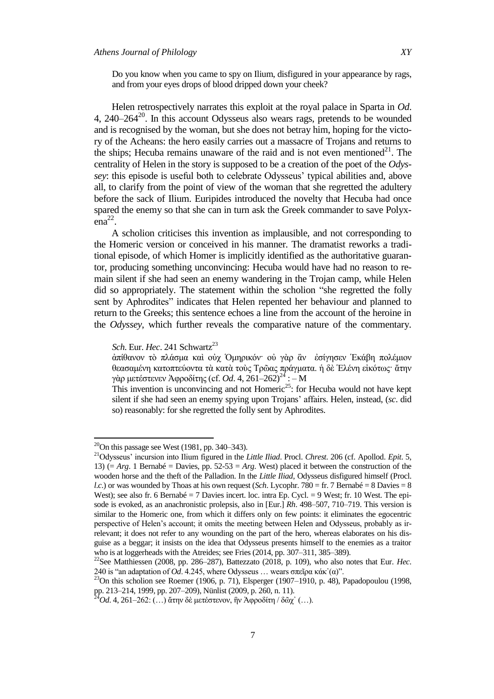Do you know when you came to spy on Ilium, disfigured in your appearance by rags, and from your eyes drops of blood dripped down your cheek?

Helen retrospectively narrates this exploit at the royal palace in Sparta in *Od*.  $4, 240-264^{20}$ . In this account Odysseus also wears rags, pretends to be wounded and is recognised by the woman, but she does not betray him, hoping for the victory of the Acheans: the hero easily carries out a massacre of Trojans and returns to the ships; Hecuba remains unaware of the raid and is not even mentioned<sup>21</sup>. The centrality of Helen in the story is supposed to be a creation of the poet of the *Odyssey*: this episode is useful both to celebrate Odysseus' typical abilities and, above all, to clarify from the point of view of the woman that she regretted the adultery before the sack of Ilium. Euripides introduced the novelty that Hecuba had once spared the enemy so that she can in turn ask the Greek commander to save Polyx- $\text{ena}^{22}$ .

A scholion criticises this invention as implausible, and not corresponding to the Homeric version or conceived in his manner. The dramatist reworks a traditional episode, of which Homer is implicitly identified as the authoritative guarantor, producing something unconvincing: Hecuba would have had no reason to remain silent if she had seen an enemy wandering in the Trojan camp, while Helen did so appropriately. The statement within the scholion "she regretted the folly sent by Aphrodites" indicates that Helen repented her behaviour and planned to return to the Greeks; this sentence echoes a line from the account of the heroine in the *Odyssey*, which further reveals the comparative nature of the commentary.

*Sch.* Eur. *Hec.* 241 Schwartz<sup>23</sup>

άπίθανον τὸ πλάσμα καὶ οὐχ Ὁμηρικόν· οὐ γὰρ ἂν ἐσίγησεν Ἐκάβη πολέμιον θεασαμένη κατοπτεύοντα τὰ κατὰ τοὺς Τρῶας πράγματα. ἡ δὲ Ελένη εἰκότως· ἄτην γὰρ μετέστενεν Ἀφροδίτης (cf. *Od.* 4, 261–262)<sup>24</sup> : – M

This invention is unconvincing and not Homeric<sup>25</sup>: for Hecuba would not have kept silent if she had seen an enemy spying upon Trojans" affairs. Helen, instead, (*sc*. did so) reasonably: for she regretted the folly sent by Aphrodites.

 $\overline{a}$ 

 $^{20}$ On this passage see West (1981, pp. 340–343).

<sup>21</sup>Odysseus" incursion into Ilium figured in the *Little Iliad*. Procl. *Chrest*. 206 (cf. Apollod. *Epit*. 5, 13) ( $= Arg. 1$  Bernabé  $=$  Davies, pp. 52-53  $= Arg.$  West) placed it between the construction of the wooden horse and the theft of the Palladion. In the *Little Iliad*, Odysseus disfigured himself (Procl. *l.c.*) or was wounded by Thoas at his own request (*Sch.* Lycophr. 780 = fr. 7 Bernabé = 8 Davies = 8 West); see also fr. 6 Bernabé = 7 Davies incert. loc. intra Ep. Cycl. = 9 West; fr. 10 West. The episode is evoked, as an anachronistic prolepsis, also in [Eur.] *Rh*. 498–507, 710–719. This version is similar to the Homeric one, from which it differs only on few points: it eliminates the egocentric perspective of Helen"s account; it omits the meeting between Helen and Odysseus, probably as irrelevant; it does not refer to any wounding on the part of the hero, whereas elaborates on his disguise as a beggar; it insists on the idea that Odysseus presents himself to the enemies as a traitor who is at loggerheads with the Atreides; see Fries (2014, pp. 307–311, 385–389).

<sup>22</sup>See Matthiessen (2008, pp. 286–287), Battezzato (2018, p. 109), who also notes that Eur. *Hec*. 240 is "an adaptation of *Od*. 4.245, where Odysseus ... wears σπεῖρα κάκ'(α)".

<sup>&</sup>lt;sup>24</sup>On this scholion see Roemer (1906, p. 71), Elsperger (1907–1910, p. 48), Papadopoulou (1998, pp. 213–214, 1999, pp. 207–209), Nünlist (2009, p. 260, n. 11).

<sup>&</sup>lt;sup>4</sup>Od. 4, 261–262: (…) ἄτην δὲ μετέστενον, ἣν Ἀφροδίτη / δῶχ᾽ (…).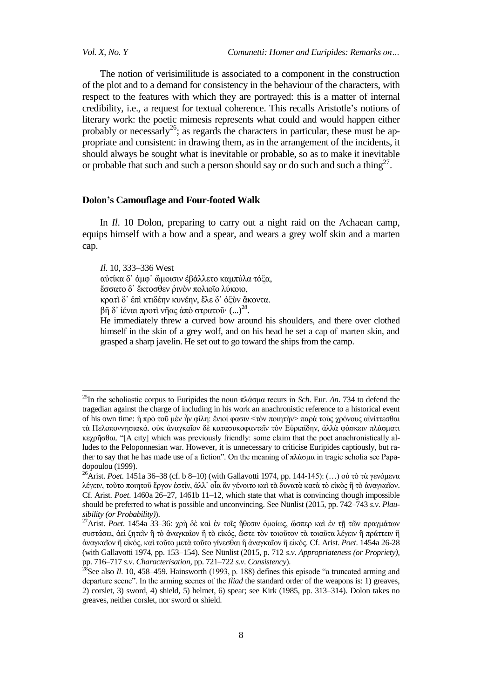*Vol. X, No. Y Comunetti: Homer and Euripides: Remarks on…*

The notion of verisimilitude is associated to a component in the construction of the plot and to a demand for consistency in the behaviour of the characters, with respect to the features with which they are portrayed: this is a matter of internal credibility, i.e., a request for textual coherence. This recalls Aristotle"s notions of literary work: the poetic mimesis represents what could and would happen either probably or necessarly<sup>26</sup>; as regards the characters in particular, these must be appropriate and consistent: in drawing them, as in the arrangement of the incidents, it should always be sought what is inevitable or probable, so as to make it inevitable or probable that such and such a person should say or do such and such a thing<sup>27</sup>.

#### **Dolon's Camouflage and Four-footed Walk**

In *Il*. 10 Dolon, preparing to carry out a night raid on the Achaean camp, equips himself with a bow and a spear, and wears a grey wolf skin and a marten cap.

*Il*. 10, 333–336 West

**.** 

αύτίκα δ' άμφ' ὤμοισιν έβάλλετο καμπύλα τόξα,

έσσατο δ' έκτοσθεν ρινόν πολιοΐο λύκοιο,

κρατί δ' έπι κτιδέην κυνέην, έλε δ' όξυν άκοντα.

βῆ δ᾽ ἰέναι προτὶ νῆας ἀπὸ στρατοῦ·  $(...)^{28}.$ 

He immediately threw a curved bow around his shoulders, and there over clothed himself in the skin of a grey wolf, and on his head he set a cap of marten skin, and grasped a sharp javelin. He set out to go toward the ships from the camp.

<sup>&</sup>lt;sup>25</sup>In the scholiastic corpus to Euripides the noun πλάσμα recurs in *Sch*. Eur. *An*. 734 to defend the tragedian against the charge of including in his work an anachronistic reference to a historical event of his own time: ἣ πρὸ τοῦ μὲν ἦν φίλη: ἔνιοί φασιν <τὸν ποιητὴν> παρὰ τοὺς χρόνους αἰνίττεσθαι τὰ Πελοποννησιακά. οὐκ ἀναγκαῖον δὲ κατασυκοφαντεῖν τὸν Εὐριπίδην, ἀλλὰ φάσκειν πλάσματι  $\kappa$ εχρῆσθαι. "[A city] which was previously friendly: some claim that the poet anachronistically alludes to the Peloponnesian war. However, it is unnecessary to criticise Euripides captiously, but rather to say that he has made use of a fiction". On the meaning of πλάσμα in tragic scholia see Papadopoulou (1999).

<sup>&</sup>lt;sup>26</sup>Arist. *Poet*. 1451a 36–38 (cf. b 8–10) (with Gallavotti 1974, pp. 144-145): (...) οὐ τὸ τὰ γενόμενα λέγειν, τοῦτο ποιητοῦ ἔργον ἐστίν, ἀλλ᾽ οἶα ἂν γένοιτο καὶ τὰ δυνατὰ κατὰ τὸ εἰκὸς ἢ τὸ ἀναγκαῖον. Cf. Arist. *Poet*. 1460a 26–27, 1461b 11–12, which state that what is convincing though impossible should be preferred to what is possible and unconvincing. See Nünlist (2015, pp. 742–743 *s*.*v*. *Plausibility (or Probability)*).

<sup>&</sup>lt;sup>27</sup> Arist. *Poet*. 1454a 33-36: χρὴ δὲ καὶ ἐν τοῖς ἤθεσιν ὁμοίως, ὥσπερ καὶ ἐν τῇ τῶν πραγμάτων συστάσει, ἀεὶ ζητεῖν ἢ τὸ ἀναγκαῖον ἢ τὸ εἰκός, ὥστε τὸν τοιοῦτον τὰ τοιαῦτα λέγειν ἢ πράττειν ἢ άναγκαΐον ή είκός, και τοῦτο μετα τοῦτο γίνεσθαι ή αναγκαΐον ή εικός. Cf. Arist. *Poet*. 1454a 26-28 (with Gallavotti 1974, pp. 153–154). See Nünlist (2015, p. 712 *s*.*v*. *Appropriateness (or Propriety)*, pp. 716–717 *s*.*v*. *Characterisation*, pp. 721–722 *s*.*v*. *Consistency*).

 $28$ See also *Il.* 10, 458–459. Hainsworth (1993, p. 188) defines this episode "a truncated arming and departure scene". In the arming scenes of the *Iliad* the standard order of the weapons is: 1) greaves, 2) corslet, 3) sword, 4) shield, 5) helmet, 6) spear; see Kirk (1985, pp. 313–314). Dolon takes no greaves, neither corslet, nor sword or shield.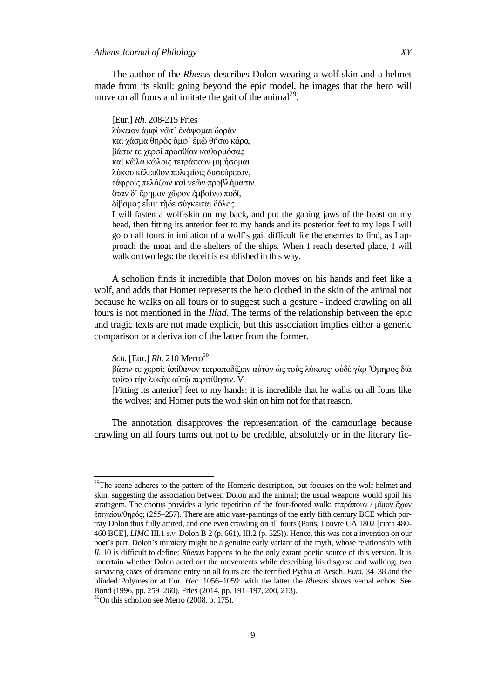# *Athens Journal of Philology XY*

The author of the *Rhesus* describes Dolon wearing a wolf skin and a helmet made from its skull: going beyond the epic model, he images that the hero will move on all fours and imitate the gait of the animal<sup>29</sup>.

[Eur.] *Rh*. 208-215 Fries λύκειον άμφι νῶτ' ἐνάψομαι δοράν καὶ χάσμα θηρὸς ἀμφ' ἐμῷ θήσω κάρα, βάσιν τε γερσί προσθίαν καθαρμόσας καὶ κῶλα κώλοις τετράπουν μιμήσομαι λύκου κέλευθον πολεμίοις δυσεύρετον, τάφροις πελάζων και νεῶν προβλήμασιν. δταν δ' έρημον χώρον έμβαίνω ποδί, δίβαμος εἶμι· τῆδε σύγκειται δόλος.

I will fasten a wolf-skin on my back, and put the gaping jaws of the beast on my head, then fitting its anterior feet to my hands and its posterior feet to my legs I will go on all fours in imitation of a wolf"s gait difficult for the enemies to find, as I approach the moat and the shelters of the ships. When I reach deserted place, I will walk on two legs: the deceit is established in this way.

A scholion finds it incredible that Dolon moves on his hands and feet like a wolf, and adds that Homer represents the hero clothed in the skin of the animal not because he walks on all fours or to suggest such a gesture - indeed crawling on all fours is not mentioned in the *Iliad*. The terms of the relationship between the epic and tragic texts are not made explicit, but this association implies either a generic comparison or a derivation of the latter from the former.

*Sch.* [Eur.] *Rh.* 210 Merro<sup>30</sup>

 $\overline{\phantom{a}}$ 

βάσιν τε χερσί: ἀπίθανον τετραποδίζειν αὐτὸν ὡς τοὺς λύκους· οὐδὲ γὰρ Όμηρος διὰ τοῦτο την λυκῆν αὐτῷ περιτίθησιν. V

[Fitting its anterior] feet to my hands: it is incredible that he walks on all fours like the wolves; and Homer puts the wolf skin on him not for that reason.

The annotation disapproves the representation of the camouflage because crawling on all fours turns out not to be credible, absolutely or in the literary fic-

<sup>&</sup>lt;sup>29</sup>The scene adheres to the pattern of the Homeric description, but focuses on the wolf helmet and skin, suggesting the association between Dolon and the animal; the usual weapons would spoil his stratagem. The chorus provides a lyric repetition of the four-footed walk: τετράπουν / μῖμον ἔχων έπιγαίου/θηρός; (255–257). There are attic vase-paintings of the early fifth century BCE which portray Dolon thus fully attired, and one even crawling on all fours (Paris, Louvre CA 1802 [circa 480- 460 BCE], *LIMC* III.1 *s*.*v*. Dolon B 2 (p. 661), III.2 (p. 525)). Hence, this was not a invention on our poet"s part. Dolon"s mimicry might be a genuine early variant of the myth, whose relationship with *Il*. 10 is difficult to define; *Rhesus* happens to be the only extant poetic source of this version. It is uncertain whether Dolon acted out the movements while describing his disguise and walking; two surviving cases of dramatic entry on all fours are the terrified Pythia at Aesch. *Eum*. 34–38 and the blinded Polymestor at Eur. *Hec*. 1056–1059: with the latter the *Rhesus* shows verbal echos. See Bond (1996, pp. 259–260), Fries (2014, pp. 191–197, 200, 213).

 $30$ On this scholion see Merro (2008, p. 175).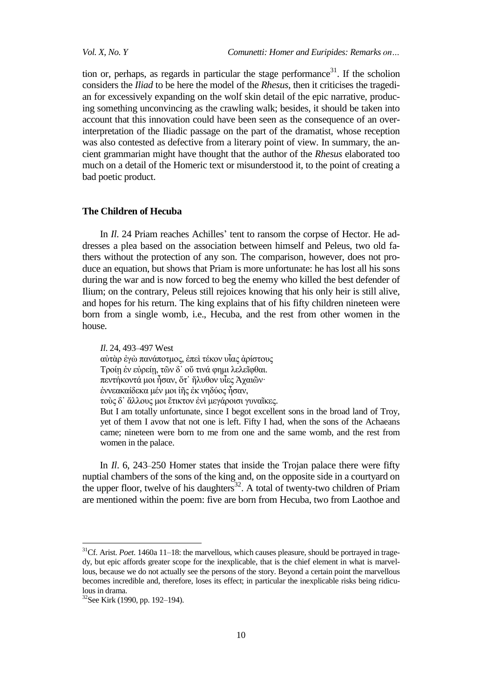tion or, perhaps, as regards in particular the stage performance<sup>31</sup>. If the scholion considers the *Iliad* to be here the model of the *Rhesus*, then it criticises the tragedian for excessively expanding on the wolf skin detail of the epic narrative, producing something unconvincing as the crawling walk; besides, it should be taken into account that this innovation could have been seen as the consequence of an overinterpretation of the Iliadic passage on the part of the dramatist, whose reception was also contested as defective from a literary point of view. In summary, the ancient grammarian might have thought that the author of the *Rhesus* elaborated too much on a detail of the Homeric text or misunderstood it, to the point of creating a bad poetic product.

#### **The Children of Hecuba**

In *Il.* 24 Priam reaches Achilles' tent to ransom the corpse of Hector. He addresses a plea based on the association between himself and Peleus, two old fathers without the protection of any son. The comparison, however, does not produce an equation, but shows that Priam is more unfortunate: he has lost all his sons during the war and is now forced to beg the enemy who killed the best defender of Ilium; on the contrary, Peleus still rejoices knowing that his only heir is still alive, and hopes for his return. The king explains that of his fifty children nineteen were born from a single womb, i.e., Hecuba, and the rest from other women in the house.

*Il*. 24, 493–497 West αύτὰρ ἐγὼ πανάποτμος, ἐπεὶ τέκον υἶας ἀρίστους Τροίη έν εὐρείη, τῶν δ<sup>'</sup> οὔ τινά φημι λελεῖφθαι. πεντήκοντά μοι ἦσαν, ὅτ᾽ ἤλυθον υἶες Ἀχαιῶν· έννεακαίδεκα μέν μοι ἰῆς ἐκ νηδύος ἦσαν, τούς δ' άλλους μοι έτικτον ένι μεγάροισι γυναΐκες. But I am totally unfortunate, since I begot excellent sons in the broad land of Troy,

yet of them I avow that not one is left. Fifty I had, when the sons of the Achaeans came; nineteen were born to me from one and the same womb, and the rest from women in the palace.

In *Il.* 6, 243–250 Homer states that inside the Trojan palace there were fifty nuptial chambers of the sons of the king and, on the opposite side in a courtyard on the upper floor, twelve of his daughters<sup>32</sup>. A total of twenty-two children of Priam are mentioned within the poem: five are born from Hecuba, two from Laothoe and

 $\overline{a}$ 

<sup>&</sup>lt;sup>31</sup>Cf. Arist. *Poet*. 1460a 11–18: the marvellous, which causes pleasure, should be portrayed in tragedy, but epic affords greater scope for the inexplicable, that is the chief element in what is marvellous, because we do not actually see the persons of the story. Beyond a certain point the marvellous becomes incredible and, therefore, loses its effect; in particular the inexplicable risks being ridiculous in drama.

<sup>32</sup>See Kirk (1990, pp. 192–194).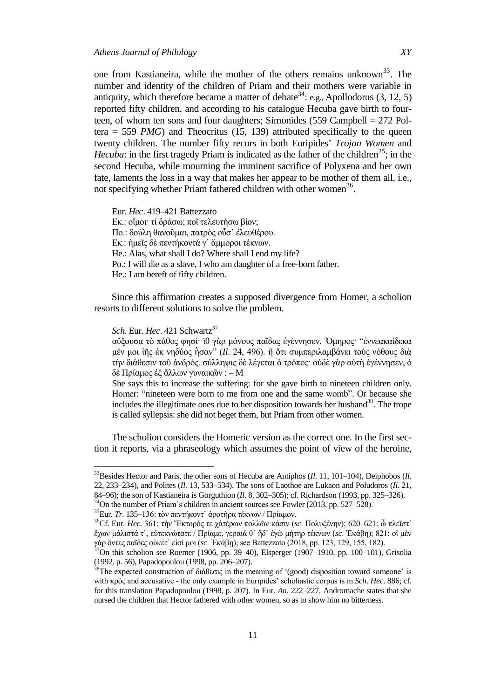one from Kastianeira, while the mother of the others remains unknown<sup>33</sup>. The number and identity of the children of Priam and their mothers were variable in antiquity, which therefore became a matter of debate<sup>34</sup>: e.g., Apollodorus  $(3, 12, 5)$ reported fifty children, and according to his catalogue Hecuba gave birth to fourteen, of whom ten sons and four daughters; Simonides (559 Campbell = 272 Poltera  $=$  559 *PMG*) and Theocritus (15, 139) attributed specifically to the queen twenty children. The number fifty recurs in both Euripides" *Trojan Women* and *Hecuba*: in the first tragedy Priam is indicated as the father of the children<sup>35</sup>; in the second Hecuba, while mourning the imminent sacrifice of Polyxena and her own fate, laments the loss in a way that makes her appear to be mother of them all, i.e., not specifying whether Priam fathered children with other women<sup>36</sup>.

Eur. *Hec*. 419–421 Battezzato Εκ.: οἴμοι· τί δράσω; ποῖ τελευτήσω βίον; Πο.: δούλη θανοῦμαι, πατρὸς οὖσ' ἐλευθέρου. Εκ.: ήμεῖς δὲ πεντήκοντά γ' ἄμμοροι τέκνων. He.: Alas, what shall I do? Where shall I end my life? Po.: I will die as a slave, I who am daughter of a free-born father. He.: I am bereft of fifty children.

Since this affirmation creates a supposed divergence from Homer, a scholion resorts to different solutions to solve the problem.

*Sch.* Eur. *Hec.* 421 Schwartz<sup>37</sup>

 $\overline{a}$ 

αὔξουσα τὸ πάθος φησί· Τθ γὰρ μόνους παΐδας ἐγέννησεν. Όμηρος· "ἐννεακαίδεκα μέν μοι ίῆς ἐκ νηδύος ἦσαν" (*ΙΙ.* 24, 496). ἢ ὅτι συμπεριλαμβάνει τούς νόθους διὰ την διάθεσιν τοῦ ἀνδρός. σύλληψις δὲ λέγεται ὁ τρόπος· οὐδὲ γὰρ αὐτὴ ἐγέννησεν, ὁ δὲ Πρίαμος ἐξ ἄλλων γυναικῶν : – M

She says this to increase the suffering: for she gave birth to nineteen children only. Homer: "nineteen were born to me from one and the same womb". Or because she includes the illegitimate ones due to her disposition towards her husband<sup>38</sup>. The trope is called syllepsis: she did not beget them, but Priam from other women.

The scholion considers the Homeric version as the correct one. In the first section it reports, via a phraseology which assumes the point of view of the heroine,

<sup>33</sup>Besides Hector and Paris, the other sons of Hecuba are Antiphos (*Il*. 11, 101–104), Deiphobos (*Il*. 22, 233–234), and Polites (*Il*. 13, 533–534). The sons of Laothoe are Lukaon and Poludoros (*Il*. 21, 84–96); the son of Kastianeira is Gorguthion (*Il*. 8, 302–305); cf. Richardson (1993, pp. 325–326).

 $34$ On the number of Priam's children in ancient sources see Fowler (2013, pp. 527–528).

<sup>&</sup>lt;sup>35</sup>Eur. *Tr*. 135–136: τὸν πεντήκοντ<sup>*`*</sup> ἀροτῆρα τέκνων / Πρίαμον.

<sup>&</sup>lt;sup>36</sup>Cf. Eur. *Hec*. 361: τὴν Ἔκτορός τε χἀτέρων πολλῶν κάσιν (sc. Πολυξένην); 620–621: ὦ πλεῖστ᾽ ἔρσλ κάιηζηά η᾽, εὐηεθλώηαηε / Πξίακε, γεξαηά ζ᾽ ἥδ᾽ ἐγὼ κήηεξ ηέθλσλ (*sc*. θάβε); 821: νἱ κὲλ γὰρ ὄντες παῖδες οὐκέτ' εἰσί μοι (*sc.* Ἐκάβη); see Battezzato (2018, pp. 123, 129, 155, 182).

 $37$ On this scholion see Roemer (1906, pp. 39–40), Elsperger (1907–1910, pp. 100–101), Grisolia (1992, p. 56), Papadopoulou (1998, pp. 206–207).

<sup>38</sup>The expected construction of διάθεσις in the meaning of '(good) disposition toward someone' is with πξόο and accusative - the only example in Euripides" scholiastic corpus is in *Sch*. *Hec*. 886; cf. for this translation Papadopoulou (1998, p. 207). In Eur. *An*. 222–227, Andromache states that she nursed the children that Hector fathered with other women, so as to show him no bitterness.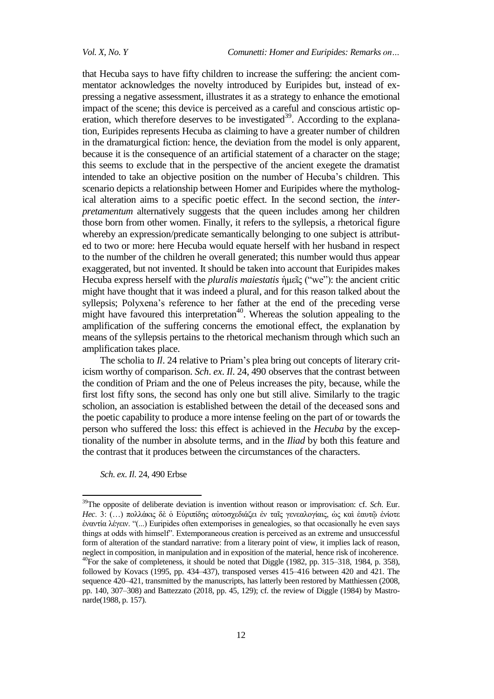that Hecuba says to have fifty children to increase the suffering: the ancient commentator acknowledges the novelty introduced by Euripides but, instead of expressing a negative assessment, illustrates it as a strategy to enhance the emotional impact of the scene; this device is perceived as a careful and conscious artistic operation, which therefore deserves to be investigated<sup>39</sup>. According to the explanation, Euripides represents Hecuba as claiming to have a greater number of children in the dramaturgical fiction: hence, the deviation from the model is only apparent, because it is the consequence of an artificial statement of a character on the stage; this seems to exclude that in the perspective of the ancient exegete the dramatist intended to take an objective position on the number of Hecuba's children. This scenario depicts a relationship between Homer and Euripides where the mythological alteration aims to a specific poetic effect. In the second section, the *interpretamentum* alternatively suggests that the queen includes among her children those born from other women. Finally, it refers to the syllepsis, a rhetorical figure whereby an expression/predicate semantically belonging to one subject is attributed to two or more: here Hecuba would equate herself with her husband in respect to the number of the children he overall generated; this number would thus appear exaggerated, but not invented. It should be taken into account that Euripides makes Hecuba express herself with the *pluralis maiestatis* ήμεῖς ("we"): the ancient critic might have thought that it was indeed a plural, and for this reason talked about the syllepsis; Polyxena's reference to her father at the end of the preceding verse might have favoured this interpretation<sup>40</sup>. Whereas the solution appealing to the amplification of the suffering concerns the emotional effect, the explanation by means of the syllepsis pertains to the rhetorical mechanism through which such an amplification takes place.

The scholia to *Il*. 24 relative to Priam's plea bring out concepts of literary criticism worthy of comparison. *Sch*. *ex*. *Il*. 24, 490 observes that the contrast between the condition of Priam and the one of Peleus increases the pity, because, while the first lost fifty sons, the second has only one but still alive. Similarly to the tragic scholion, an association is established between the detail of the deceased sons and the poetic capability to produce a more intense feeling on the part of or towards the person who suffered the loss: this effect is achieved in the *Hecuba* by the exceptionality of the number in absolute terms, and in the *Iliad* by both this feature and the contrast that it produces between the circumstances of the characters.

*Sch*. *ex*. *Il*. 24, 490 Erbse

 $\overline{a}$ 

<sup>39</sup>The opposite of deliberate deviation is invention without reason or improvisation: cf. *Sch*. Eur. Hec. 3: (...) πολλάκις δε ο Εὐριπίδης αὐτοσχεδιάζει έν ταῖς γενεαλογίαις, ώς καὶ έαυτῶ ἐνίοτε ἐλαληία ιέγεηλ. "(...) Euripides often extemporises in genealogies, so that occasionally he even says things at odds with himself". Extemporaneous creation is perceived as an extreme and unsuccessful form of alteration of the standard narrative: from a literary point of view, it implies lack of reason, neglect in composition, in manipulation and in exposition of the material, hence risk of incoherence. <sup>40</sup>For the sake of completeness, it should be noted that Diggle (1982, pp. 315–318, 1984, p. 358), followed by Kovacs (1995, pp. 434–437), transposed verses 415–416 between 420 and 421. The sequence 420–421, transmitted by the manuscripts, has latterly been restored by Matthiessen (2008, pp. 140, 307–308) and Battezzato (2018, pp. 45, 129); cf. the review of Diggle (1984) by Mastronarde(1988, p. 157).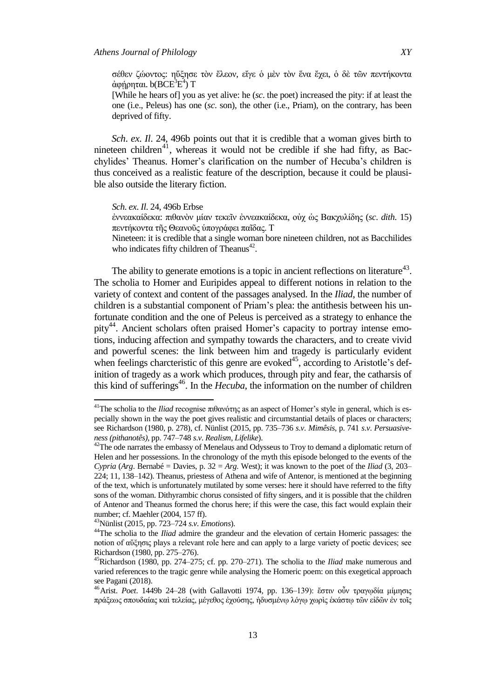σέθεν ζώοντος: ηὔξησε τὸν ἔλεον, εἴγε ὁ μὲν τὸν ἕνα ἔγει, ὁ δὲ τῶν πεντήκοντα άφήρηται. b(BCE<sup>3</sup>E<sup>4</sup>) T

[While he hears of] you as yet alive: he (*sc*. the poet) increased the pity: if at least the one (i.e., Peleus) has one (*sc*. son), the other (i.e., Priam), on the contrary, has been deprived of fifty.

*Sch*. *ex*. *Il*. 24, 496b points out that it is credible that a woman gives birth to nineteen children<sup>41</sup>, whereas it would not be credible if she had fifty, as Bacchylides" Theanus. Homer"s clarification on the number of Hecuba"s children is thus conceived as a realistic feature of the description, because it could be plausible also outside the literary fiction.

*Sch*. *ex*. *Il*. 24, 496b Erbse

έννεακαίδεκα: πιθανὸν μίαν τεκεῖν ἐννεακαίδεκα, οὐχ ὡς Βακχυλίδης (*sc. dith.* 15) πεντήκοντα της Θεανοῦς ὑπογράφει παῖδας. Τ

Nineteen: it is credible that a single woman bore nineteen children, not as Bacchilides who indicates fifty children of Theanus<sup>42</sup>.

The ability to generate emotions is a topic in ancient reflections on literature<sup>43</sup>. The scholia to Homer and Euripides appeal to different notions in relation to the variety of context and content of the passages analysed. In the *Iliad*, the number of children is a substantial component of Priam"s plea: the antithesis between his unfortunate condition and the one of Peleus is perceived as a strategy to enhance the pity<sup>44</sup>. Ancient scholars often praised Homer's capacity to portray intense emotions, inducing affection and sympathy towards the characters, and to create vivid and powerful scenes: the link between him and tragedy is particularly evident when feelings charcteristic of this genre are evoked $45$ , according to Aristotle's definition of tragedy as a work which produces, through pity and fear, the catharsis of this kind of sufferings<sup>46</sup>. In the *Hecuba*, the information on the number of children

<sup>43</sup>Nünlist (2015, pp. 723–724 *s*.*v*. *Emotions*).

 $\overline{\phantom{a}}$ 

<sup>&</sup>lt;sup>41</sup>The scholia to the *Iliad* recognise  $\pi \theta \alpha \dot{\theta} \sigma \eta \varsigma$  as an aspect of Homer's style in general, which is especially shown in the way the poet gives realistic and circumstantial details of places or characters; see Richardson (1980, p. 278), cf. Nünlist (2015, pp. 735–736 *s*.*v*. *Mimêsis*, p. 741 *s*.*v*. *Persuasiveness (pithanotês)*, pp. 747–748 *s*.*v*. *Realism, Lifelike*).

 $42$ The ode narrates the embassy of Menelaus and Odysseus to Troy to demand a diplomatic return of Helen and her possessions. In the chronology of the myth this episode belonged to the events of the *Cypria* (*Arg*. Bernabé = Davies, p. 32 = *Arg*. West); it was known to the poet of the *Iliad* (3, 203– 224; 11, 138–142). Theanus, priestess of Athena and wife of Antenor, is mentioned at the beginning of the text, which is unfortunately mutilated by some verses: here it should have referred to the fifty sons of the woman. Dithyrambic chorus consisted of fifty singers, and it is possible that the children of Antenor and Theanus formed the chorus here; if this were the case, this fact would explain their number; cf. Maehler (2004, 157 ff).

<sup>&</sup>lt;sup>44</sup>The scholia to the *Iliad* admire the grandeur and the elevation of certain Homeric passages: the notion of αύξησις plays a relevant role here and can apply to a large variety of poetic devices; see Richardson (1980, pp. 275–276).

<sup>45</sup>Richardson (1980, pp. 274–275; cf. pp. 270–271). The scholia to the *Iliad* make numerous and varied references to the tragic genre while analysing the Homeric poem: on this exegetical approach see Pagani (2018).

<sup>&</sup>lt;sup>46</sup> Arist. *Poet*. 1449b 24-28 (with Gallavotti 1974, pp. 136-139): ἔστιν οὖν τραγφδία μίμησις πράξεως σπουδαίας καὶ τελείας, μέγεθος ἐχούσης, ἡδυσμένῳ λόγῳ χωρὶς ἑκάστῳ τῶν εἰδῶν ἐν τοῖς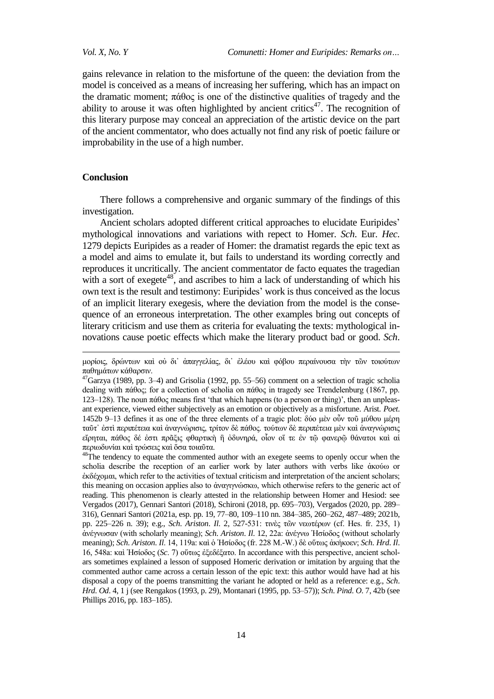gains relevance in relation to the misfortune of the queen: the deviation from the model is conceived as a means of increasing her suffering, which has an impact on the dramatic moment;  $\pi \dot{\alpha} \theta$  is one of the distinctive qualities of tragedy and the ability to arouse it was often highlighted by ancient critics $47$ . The recognition of this literary purpose may conceal an appreciation of the artistic device on the part of the ancient commentator, who does actually not find any risk of poetic failure or improbability in the use of a high number.

# **Conclusion**

1

There follows a comprehensive and organic summary of the findings of this investigation.

Ancient scholars adopted different critical approaches to elucidate Euripides' mythological innovations and variations with repect to Homer. *Sch*. Eur. *Hec*. 1279 depicts Euripides as a reader of Homer: the dramatist regards the epic text as a model and aims to emulate it, but fails to understand its wording correctly and reproduces it uncritically. The ancient commentator de facto equates the tragedian with a sort of exegete $48$ , and ascribes to him a lack of understanding of which his own text is the result and testimony: Euripides" work is thus conceived as the locus of an implicit literary exegesis, where the deviation from the model is the consequence of an erroneous interpretation. The other examples bring out concepts of literary criticism and use them as criteria for evaluating the texts: mythological innovations cause poetic effects which make the literary product bad or good. *Sch*.

μορίοις, δρώντων καὶ οὐ δι' ἀπαγγελίας, δι' ἐλέου καὶ φόβου περαίνουσα τὴν τῶν τοιούτων παθημάτων κάθαρσιν.

 $^{47}$ Garzya (1989, pp. 3–4) and Grisolia (1992, pp. 55–56) comment on a selection of tragic scholia dealing with πάθος; for a collection of scholia on πάθος in tragedy see Trendelenburg (1867, pp.  $123-128$ ). The noun πάθος means first 'that which happens (to a person or thing)', then an unpleasant experience, viewed either subjectively as an emotion or objectively as a misfortune. Arist. *Poet*. 1452b 9–13 defines it as one of the three elements of a tragic plot: δύο μέν οὖν τοῦ μύθου μέρη ταῦτ᾽ ἐστὶ περιπέτεια καὶ ἀναγνώρισις, τρίτον δὲ πάθος. τούτων δὲ περιπέτεια μὲν καὶ ἀναγνώρισις εἴρηται, πάθος δέ ἐστι πρᾶξις φθαρτικὴ ἢ ὀδυνηρά, οἶον οἴ τε ἐν τῷ φανερῷ θάνατοι καὶ αἱ περιωδυνίαι και τρώσεις και όσα τοιαύτα.

<sup>&</sup>lt;sup>48</sup>The tendency to equate the commented author with an exegete seems to openly occur when the scholia describe the reception of an earlier work by later authors with verbs like ἀκούω or έκδέχομαι, which refer to the activities of textual criticism and interpretation of the ancient scholars; this meaning on occasion applies also to ἀναγιγνώσκω, which otherwise refers to the generic act of reading. This phenomenon is clearly attested in the relationship between Homer and Hesiod: see Vergados (2017), Gennari Santori (2018), Schironi (2018, pp. 695–703), Vergados (2020, pp. 289– 316), Gennari Santori (2021a, esp. pp. 19, 77–80, 109–110 nn. 384–385, 260–262, 487–489; 2021b, pp. 225–226 n. 39); e.g., *Sch*. *Ariston*. *Il*. 2, 527-531: ηηλὲο ηῶλ λεσηέξσλ (cf. Hes. fr. 235, 1) ἀλέγλσζαλ (with scholarly meaning); *Sch*. *Ariston*. *Il*. 12, 22a: ἀλέγλσ Ἡζίνδνο (without scholarly meaning); *Sch. Ariston. Il.* 14, 119a; καὶ ὁ Ἡσίοδος (fr. 228 Μ.-W.) δὲ οὕτως ἀκήκοεν; *Sch. Hrd. Il.* 16, 548a: θαὶ Ἡζίνδνο (*Sc*. 7) νὕησο ἐμεδέμαην. In accordance with this perspective, ancient scholars sometimes explained a lesson of supposed Homeric derivation or imitation by arguing that the commented author came across a certain lesson of the epic text: this author would have had at his disposal a copy of the poems transmitting the variant he adopted or held as a reference: e.g., *Sch*. *Hrd*. *Od*. 4, 1 j (see Rengakos (1993, p. 29), Montanari (1995, pp. 53–57)); *Sch*. *Pind*. *O*. 7, 42b (see Phillips 2016, pp. 183–185).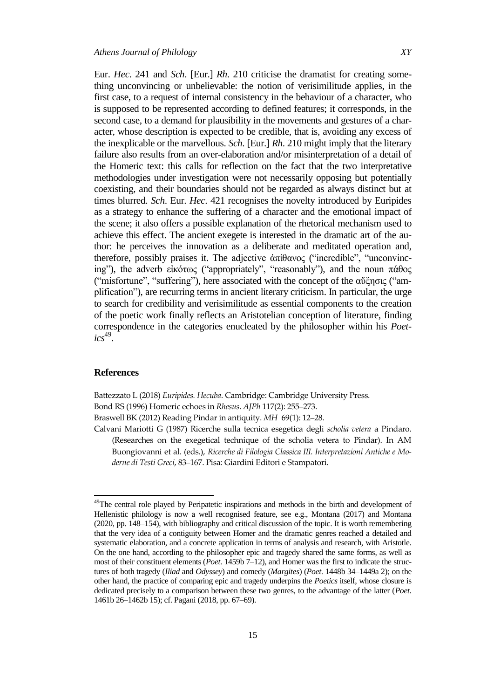Eur. *Hec*. 241 and *Sch*. [Eur.] *Rh*. 210 criticise the dramatist for creating something unconvincing or unbelievable: the notion of verisimilitude applies, in the first case, to a request of internal consistency in the behaviour of a character, who is supposed to be represented according to defined features; it corresponds, in the second case, to a demand for plausibility in the movements and gestures of a character, whose description is expected to be credible, that is, avoiding any excess of the inexplicable or the marvellous. *Sch*. [Eur.] *Rh*. 210 might imply that the literary failure also results from an over-elaboration and/or misinterpretation of a detail of the Homeric text: this calls for reflection on the fact that the two interpretative methodologies under investigation were not necessarily opposing but potentially coexisting, and their boundaries should not be regarded as always distinct but at times blurred. *Sch*. Eur. *Hec*. 421 recognises the novelty introduced by Euripides as a strategy to enhance the suffering of a character and the emotional impact of the scene; it also offers a possible explanation of the rhetorical mechanism used to achieve this effect. The ancient exegete is interested in the dramatic art of the author: he perceives the innovation as a deliberate and meditated operation and, therefore, possibly praises it. The adjective  $\alpha \pi i \theta \alpha \nu o \gamma$  ("incredible", "unconvincing"), the adverb εἰκότως ("appropriately", "reasonably"), and the noun πάθος ("misfortune", "suffering"), here associated with the concept of the αύξησις ("amplification"), are recurring terms in ancient literary criticism. In particular, the urge to search for credibility and verisimilitude as essential components to the creation of the poetic work finally reflects an Aristotelian conception of literature, finding correspondence in the categories enucleated by the philosopher within his *Poet-* $\textit{ics}^{49}$ .

#### **References**

l

Battezzato L (2018) *Euripides. Hecuba*. Cambridge: Cambridge University Press. Bond RS (1996) Homeric echoes in *Rhesus*. *AJPh* 117(2): 255–273. Braswell BK (2012) Reading Pindar in antiquity. *MH* 69(1): 12–28.

Calvani Mariotti G (1987) Ricerche sulla tecnica esegetica degli *scholia vetera* a Pindaro. (Researches on the exegetical technique of the scholia vetera to Pindar). In AM Buongiovanni et al. (eds.), *Ricerche di Filologia Classica III. Interpretazioni Antiche e Moderne di Testi Greci*, 83–167. Pisa: Giardini Editori e Stampatori.

<sup>&</sup>lt;sup>49</sup>The central role played by Peripatetic inspirations and methods in the birth and development of Hellenistic philology is now a well recognised feature, see e.g., Montana (2017) and Montana (2020, pp. 148–154), with bibliography and critical discussion of the topic. It is worth remembering that the very idea of a contiguity between Homer and the dramatic genres reached a detailed and systematic elaboration, and a concrete application in terms of analysis and research, with Aristotle. On the one hand, according to the philosopher epic and tragedy shared the same forms, as well as most of their constituent elements (*Poet*. 1459b 7–12), and Homer was the first to indicate the structures of both tragedy (*Iliad* and *Odyssey*) and comedy (*Margites*) (*Poet*. 1448b 34–1449a 2); on the other hand, the practice of comparing epic and tragedy underpins the *Poetics* itself, whose closure is dedicated precisely to a comparison between these two genres, to the advantage of the latter (*Poet*. 1461b 26–1462b 15); cf. Pagani (2018, pp. 67–69).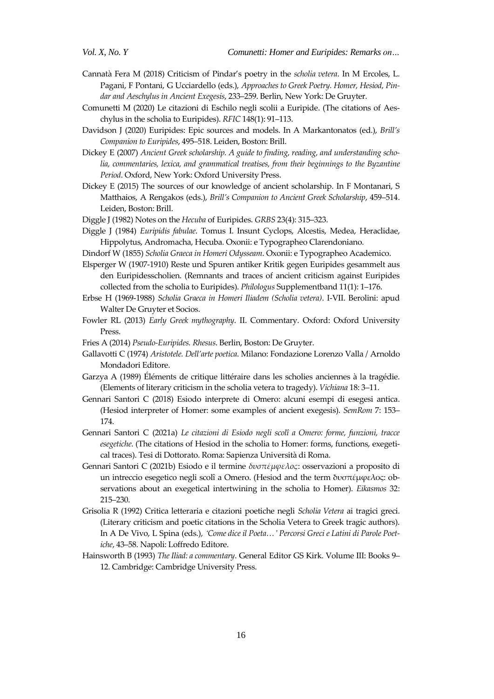- Cannatà Fera M (2018) Criticism of Pindar's poetry in the *scholia vetera*. In M Ercoles, L. Pagani, F Pontani, G Ucciardello (eds.), *Approaches to Greek Poetry. Homer, Hesiod, Pindar and Aeschylus in Ancient Exegesis*, 233–259. Berlin, New York: De Gruyter.
- Comunetti M (2020) Le citazioni di Eschilo negli scolii a Euripide. (The citations of Aeschylus in the scholia to Euripides). *RFIC* 148(1): 91–113.
- Davidson J (2020) Euripides: Epic sources and models. In A Markantonatos (ed.), *Brill's Companion to Euripides*, 495–518. Leiden, Boston: Brill.
- Dickey E (2007) *Ancient Greek scholarship. A guide to finding, reading, and understanding scholia, commentaries, lexica, and grammatical treatises, from their beginnings to the Byzantine Period*. Oxford, New York: Oxford University Press.
- Dickey E (2015) The sources of our knowledge of ancient scholarship. In F Montanari, S Matthaios, A Rengakos (eds.), *Brill's Companion to Ancient Greek Scholarship*, 459–514. Leiden, Boston: Brill.

Diggle J (1982) Notes on the *Hecuba* of Euripides. *GRBS* 23(4): 315–323.

- Diggle J (1984) *Euripidis fabulae*. Tomus I. Insunt Cyclops, Alcestis, Medea, Heraclidae, Hippolytus, Andromacha, Hecuba. Oxonii: e Typographeo Clarendoniano.
- Dindorf W (1855) *Scholia Graeca in Homeri Odysseam*. Oxonii: e Typographeo Academico.
- Elsperger W (1907-1910) Reste und Spuren antiker Kritik gegen Euripides gesammelt aus den Euripidesscholien. (Remnants and traces of ancient criticism against Euripides collected from the scholia to Euripides). *Philologus* Supplementband 11(1): 1–176.
- Erbse H (1969-1988) *Scholia Graeca in Homeri Iliadem (Scholia vetera)*. I-VII. Berolini: apud Walter De Gruyter et Socios.
- Fowler RL (2013) *Early Greek mythography*. II. Commentary. Oxford: Oxford University Press.
- Fries A (2014) *Pseudo-Euripides. Rhesus*. Berlin, Boston: De Gruyter.
- Gallavotti C (1974) *Aristotele. Dell'arte poetica*. Milano: Fondazione Lorenzo Valla / Arnoldo Mondadori Editore.
- Garzya A (1989) Éléments de critique littéraire dans les scholies anciennes à la tragédie. (Elements of literary criticism in the scholia vetera to tragedy). *Vichiana* 18: 3–11.
- Gennari Santori C (2018) Esiodo interprete di Omero: alcuni esempi di esegesi antica. (Hesiod interpreter of Homer: some examples of ancient exegesis). *SemRom* 7: 153– 174.
- Gennari Santori C (2021a) *Le citazioni di Esiodo negli scolî a Omero: forme, funzioni, tracce esegetiche*. (The citations of Hesiod in the scholia to Homer: forms, functions, exegetical traces). Tesi di Dottorato. Roma: Sapienza Università di Roma.
- Gennari Santori C (2021b) Esiodo e il termine *δυσπέμφελος*: osservazioni a proposito di un intreccio esegetico negli scolî a Omero. (Hesiod and the term δυσπέμφελος: observations about an exegetical intertwining in the scholia to Homer). *Eikasmos* 32: 215–230.
- Grisolia R (1992) Critica letteraria e citazioni poetiche negli *Scholia Vetera* ai tragici greci. (Literary criticism and poetic citations in the Scholia Vetera to Greek tragic authors). In A De Vivo, L Spina (eds.), *ʻCome dice il Poeta…' Percorsi Greci e Latini di Parole Poetiche*, 43–58. Napoli: Loffredo Editore.
- Hainsworth B (1993) *The Iliad: a commentary*. General Editor GS Kirk. Volume III: Books 9– 12. Cambridge: Cambridge University Press.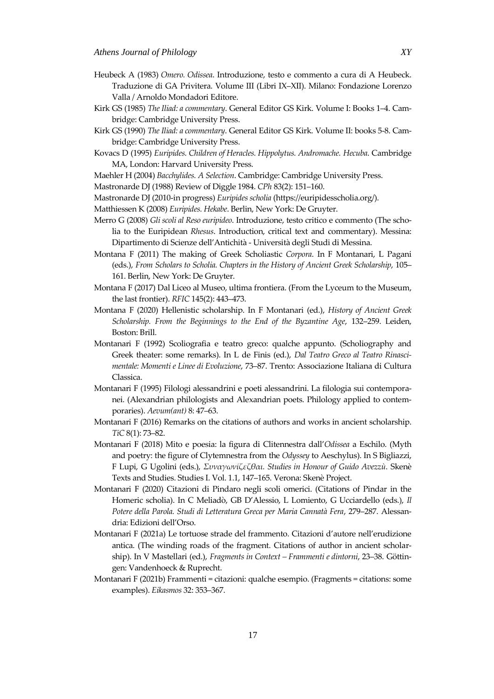- Heubeck A (1983) *Omero. Odissea*. Introduzione, testo e commento a cura di A Heubeck. Traduzione di GA Privitera. Volume III (Libri IX–XII). Milano: Fondazione Lorenzo Valla / Arnoldo Mondadori Editore.
- Kirk GS (1985) *The Iliad: a commentary*. General Editor GS Kirk. Volume I: Books 1–4. Cambridge: Cambridge University Press.
- Kirk GS (1990) *The Iliad: a commentary*. General Editor GS Kirk. Volume II: books 5-8. Cambridge: Cambridge University Press.
- Kovacs D (1995) *Euripides. Children of Heracles. Hippolytus. Andromache. Hecuba*. Cambridge MA, London: Harvard University Press.
- Maehler H (2004) *Bacchylides. A Selection*. Cambridge: Cambridge University Press.
- Mastronarde DJ (1988) Review of Diggle 1984. *CPh* 83(2): 151–160.
- Mastronarde DJ (2010-in progress) *Euripides scholia* (https://euripidesscholia.org/).
- Matthiessen K (2008) *Euripides. Hekabe*. Berlin, New York: De Gruyter.
- Merro G (2008) *Gli scoli al Reso euripideo*. Introduzione, testo critico e commento (The scholia to the Euripidean *Rhesus*. Introduction, critical text and commentary). Messina: Dipartimento di Scienze dell'Antichità - Università degli Studi di Messina.
- Montana F (2011) The making of Greek Scholiastic *Corpora*. In F Montanari, L Pagani (eds.), *From Scholars to Scholia. Chapters in the History of Ancient Greek Scholarship*, 105– 161. Berlin, New York: De Gruyter.
- Montana F (2017) Dal Liceo al Museo, ultima frontiera. (From the Lyceum to the Museum, the last frontier). *RFIC* 145(2): 443–473.
- Montana F (2020) Hellenistic scholarship. In F Montanari (ed.), *History of Ancient Greek Scholarship. From the Beginnings to the End of the Byzantine Age*, 132–259. Leiden, Boston: Brill.
- Montanari F (1992) Scoliografia e teatro greco: qualche appunto. (Scholiography and Greek theater: some remarks). In L de Finis (ed.), *Dal Teatro Greco al Teatro Rinascimentale: Momenti e Linee di Evoluzione*, 73–87. Trento: Associazione Italiana di Cultura Classica.
- Montanari F (1995) Filologi alessandrini e poeti alessandrini. La filologia sui contemporanei. (Alexandrian philologists and Alexandrian poets. Philology applied to contemporaries). *Aevum(ant)* 8: 47–63.
- Montanari F (2016) Remarks on the citations of authors and works in ancient scholarship. *TiC* 8(1): 73–82.
- Montanari F (2018) Mito e poesia: la figura di Clitennestra dall'*Odissea* a Eschilo. (Myth and poetry: the figure of Clytemnestra from the *Odyssey* to Aeschylus). In S Bigliazzi, F Lupi, G Ugolini (eds.), *υναγωνίζεζθαι. Studies in Honour of Guido Avezzù*. Skenè Texts and Studies. Studies I. Vol. 1.1, 147–165. Verona: Skenè Project.
- Montanari F (2020) Citazioni di Pindaro negli scoli omerici. (Citations of Pindar in the Homeric scholia). In C Meliadò, GB D'Alessio, L Lomiento, G Ucciardello (eds.), *Il Potere della Parola. Studi di Letteratura Greca per Maria Cannatà Fera*, 279–287. Alessandria: Edizioni dell'Orso.
- Montanari F (2021a) Le tortuose strade del frammento. Citazioni d'autore nell'erudizione antica. (The winding roads of the fragment. Citations of author in ancient scholarship). In V Mastellari (ed.), *Fragments in Context – Frammenti e dintorni*, 23–38. Göttingen: Vandenhoeck & Ruprecht.
- Montanari F (2021b) Frammenti = citazioni: qualche esempio. (Fragments = citations: some examples). *Eikasmos* 32: 353–367.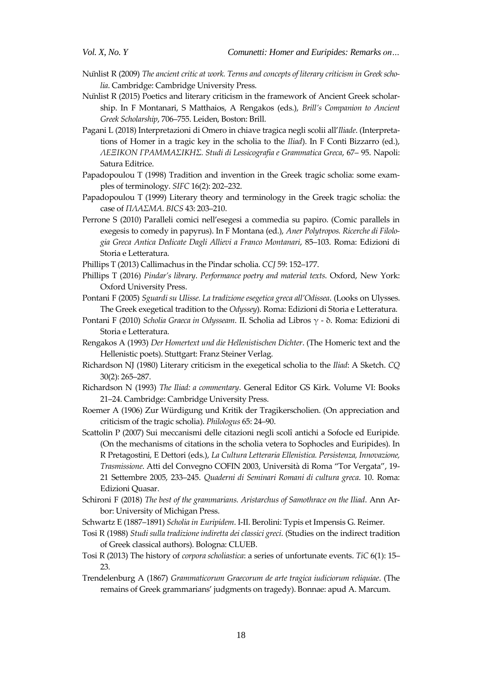- Nunlist R (2009) *The ancient critic at work. Terms and concepts of literary criticism in Greek scholia*. Cambridge: Cambridge University Press.
- Nunlist R (2015) Poetics and literary criticism in the framework of Ancient Greek scholarship. In F Montanari, S Matthaios, A Rengakos (eds.), *Brill's Companion to Ancient Greek Scholarship*, 706–755. Leiden, Boston: Brill.
- Pagani L (2018) Interpretazioni di Omero in chiave tragica negli scolii all'*Iliade*. (Interpretations of Homer in a tragic key in the scholia to the *Iliad*). In F Conti Bizzarro (ed.), *ΛΕΞΙΚΟΝ ΓΡΑΜΜΑΙΚΗ. Studi di Lessicografia e Grammatica Greca*, 67– 95. Napoli: Satura Editrice.
- Papadopoulou T (1998) Tradition and invention in the Greek tragic scholia: some examples of terminology. *SIFC* 16(2): 202–232.
- Papadopoulou T (1999) Literary theory and terminology in the Greek tragic scholia: the case of *ΠΛΑΜΑ*. *BICS* 43: 203–210.
- Perrone S (2010) Paralleli comici nell'esegesi a commedia su papiro. (Comic parallels in exegesis to comedy in papyrus). In F Montana (ed.), *Aner Polytropos. Ricerche di Filologia Greca Antica Dedicate Dagli Allievi a Franco Montanari*, 85–103. Roma: Edizioni di Storia e Letteratura.
- Phillips T (2013) Callimachus in the Pindar scholia. *CCJ* 59: 152–177.
- Phillips T (2016) *Pindar's library*. *Performance poetry and material texts*. Oxford, New York: Oxford University Press.
- Pontani F (2005) *Sguardi su Ulisse. La tradizione esegetica greca all'Odissea*. (Looks on Ulysses. The Greek exegetical tradition to the *Odyssey*). Roma: Edizioni di Storia e Letteratura.
- Pontani F (2010) *Scholia Graeca in Odysseam*. II. Scholia ad Libros γ δ. Roma: Edizioni di Storia e Letteratura.
- Rengakos A (1993) *Der Homertext und die Hellenistischen Dichter*. (The Homeric text and the Hellenistic poets). Stuttgart: Franz Steiner Verlag.
- Richardson NJ (1980) Literary criticism in the exegetical scholia to the *Iliad*: A Sketch. *CQ* 30(2): 265–287.
- Richardson N (1993) *The Iliad: a commentary*. General Editor GS Kirk. Volume VI: Books 21–24. Cambridge: Cambridge University Press.
- Roemer A (1906) Zur Würdigung und Kritik der Tragikerscholien. (On appreciation and criticism of the tragic scholia). *Philologus* 65: 24–90.
- Scattolin P (2007) Sui meccanismi delle citazioni negli scolî antichi a Sofocle ed Euripide. (On the mechanisms of citations in the scholia vetera to Sophocles and Euripides). In R Pretagostini, E Dettori (eds.), *La Cultura Letteraria Ellenistica. Persistenza, Innovazione, Trasmissione*. Atti del Convegno COFIN 2003, Università di Roma "Tor Vergata", 19- 21 Settembre 2005, 233–245. *Quaderni di Seminari Romani di cultura greca*. 10. Roma: Edizioni Quasar.
- Schironi F (2018) *The best of the grammarians. Aristarchus of Samothrace on the Iliad*. Ann Arbor: University of Michigan Press.
- Schwartz E (1887–1891) *Scholia in Euripidem*. I-II. Berolini: Typis et Impensis G. Reimer.
- Tosi R (1988) *Studi sulla tradizione indiretta dei classici greci*. (Studies on the indirect tradition of Greek classical authors). Bologna: CLUEB.
- Tosi R (2013) The history of *corpora scholiastica*: a series of unfortunate events. *TiC* 6(1): 15– 23.
- Trendelenburg A (1867) *Grammaticorum Graecorum de arte tragica iudiciorum reliquiae*. (The remains of Greek grammarians' judgments on tragedy). Bonnae: apud A. Marcum.